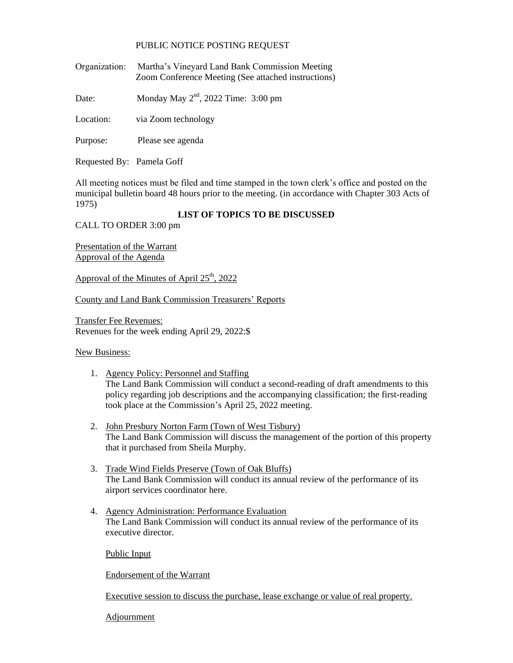## PUBLIC NOTICE POSTING REQUEST

Organization: Martha's Vineyard Land Bank Commission Meeting Zoom Conference Meeting (See attached instructions)

Date: Monday May  $2<sup>nd</sup>$ , 2022 Time: 3:00 pm

Location: via Zoom technology

Purpose: Please see agenda

Requested By: Pamela Goff

All meeting notices must be filed and time stamped in the town clerk's office and posted on the municipal bulletin board 48 hours prior to the meeting. (in accordance with Chapter 303 Acts of 1975)

## **LIST OF TOPICS TO BE DISCUSSED**

CALL TO ORDER 3:00 pm

Presentation of the Warrant Approval of the Agenda

Approval of the Minutes of April  $25<sup>th</sup>$ , 2022

County and Land Bank Commission Treasurers' Reports

Transfer Fee Revenues: Revenues for the week ending April 29, 2022:\$

New Business:

- 1. Agency Policy: Personnel and Staffing The Land Bank Commission will conduct a second-reading of draft amendments to this policy regarding job descriptions and the accompanying classification; the first-reading took place at the Commission's April 25, 2022 meeting.
- 2. John Presbury Norton Farm (Town of West Tisbury) The Land Bank Commission will discuss the management of the portion of this property that it purchased from Sheila Murphy.
- 3. Trade Wind Fields Preserve (Town of Oak Bluffs) The Land Bank Commission will conduct its annual review of the performance of its airport services coordinator here.
- 4. Agency Administration: Performance Evaluation The Land Bank Commission will conduct its annual review of the performance of its executive director.

Public Input

Endorsement of the Warrant

Executive session to discuss the purchase, lease exchange or value of real property.

**Adjournment**